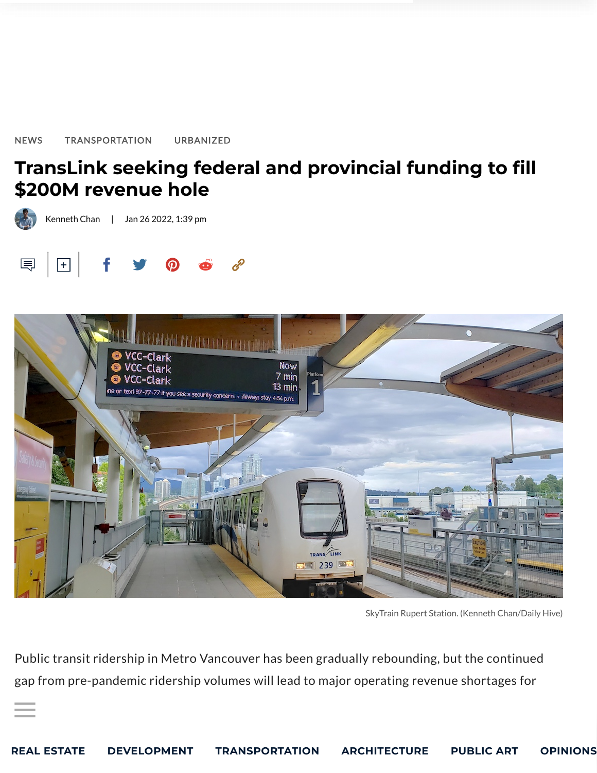## **TransLink seeking federal and provincial funding to fill \$200M revenue hole**

[Kenneth](https://dailyhive.com/author/kenneth_chan) Chan | Jan 26 2022, 1:39 pm

Tran[sLink](https://dailyhive.com/) in 2022 and [2023.](https://dailyhive.com/vancouver/urbanized)

÷.

 $f$  )  $\theta$  of  $\theta$ 目  $\pm$ 



SkyTrain Rupert Station. (Kenneth Chan/Daily Hive)

Public transit ridership in Metro Vancouver has been gradually rebounding, but the continued gap from pre-pandemic ridership volumes will lead to major operating revenue shortages for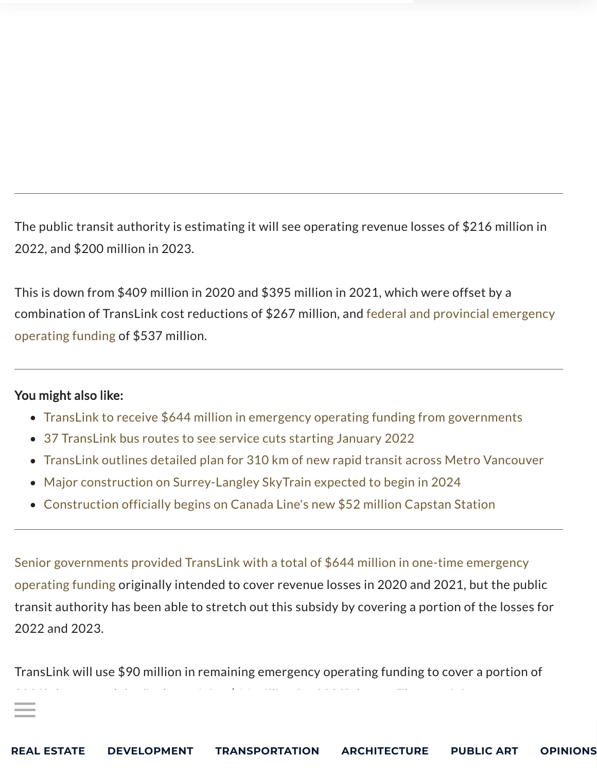The public transit authority is estimating it will see operating revenue losses of \$216 million in 2022, and \$200 million in 2023.

This is down from \$409 million in 2020 and \$395 million in 2021, which were offset by a [combination](https://dailyhive.com/vancouver/translink-bctransit-bcferries-emergency-operating-funding) of TransLink cost reductions of \$267 million, and federal and provincial emergency operating funding of \$537 million.

## You might also like:

÷.

- TransLink to receive \$644 million in emergency operating funding from [governments](https://dailyhive.com/vancouver/translink-bctransit-bcferries-emergency-operating-funding)
- 37 [TransLink](https://dailyhive.com/vancouver/translink-bus-service-changes-frequency-cuts-january-2022) bus routes to see service cuts starting January 2022
- TransLink outlines detailed plan for 310 km of new rapid transit across Metro [Vancouver](https://dailyhive.com/vancouver/translink-transport-2050-draft-plan-transit-expansion)
- Major construction on [Surrey-Langley](https://dailyhive.com/vancouver/surrey-langley-skytrain-project-timeline) SkyTrain expected to begin in 2024
- [Construction](https://dailyhive.com/vancouver/capstan-station-canada-line-skytrain-construction-groundbreaking) officially begins on Canada Line's new \$52 million Capstan Station

Senior [governments](https://dailyhive.com/vancouver/translink-bctransit-bcferries-emergency-operating-funding) provided TransLink with a total of \$644 million in one-time emergency operating funding originally intended to cover revenue losses in 2020 and 2021, but the public transit authority has been able to stretch out this subsidy by covering a portion of the losses for 2022 and 2023.

TransLink will use \$90 million in remaining emergency operating funding to cover a portion of 2022's losses, and the final remaining \$16 million for 2023's losses. The remaining emergency

oper[ating](https://dailyhive.com/) funding and cost reductions are [insufficient](https://dailyhive.com/vancouver/urbanized) to cover forecasted revenue losses, which is a set of  $\alpha$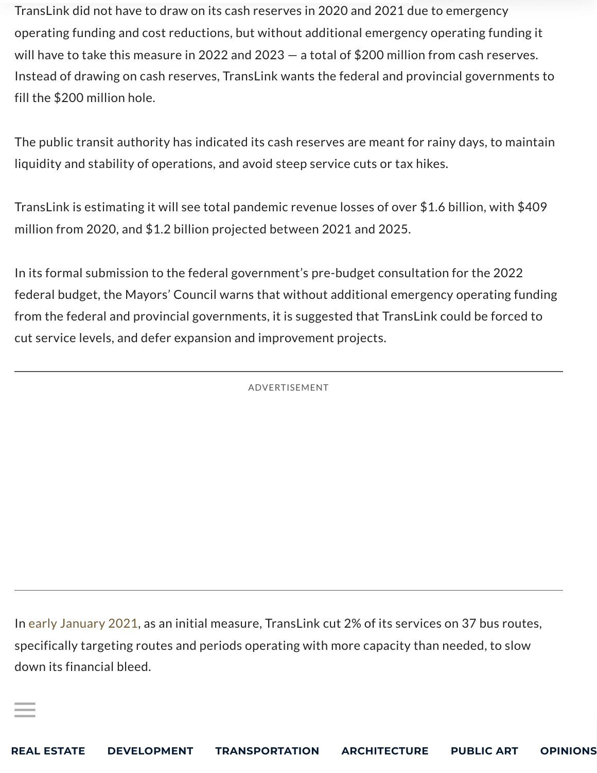TransLink did not have to draw on its cash reserves in 2020 and 2021 due to emergency operating funding and cost reductions, but without additional emergency operating funding it will have to take this measure in 2022 and 2023 — a total of \$200 million from cash reserves. Instead of drawing on cash reserves, TransLink wants the federal and provincial governments to fill the \$200 million hole.

The public transit authority has indicated its cash reserves are meant for rainy days, to maintain liquidity and stability of operations, and avoid steep service cuts or tax hikes.

TransLink is estimating it will see total pandemic revenue losses of over \$1.6 billion, with \$409 million from 2020, and \$1.2 billion projected between 2021 and 2025.

In its formal submission to the federal government's pre-budget consultation for the 2022 federal budget, the Mayors' Council warns that without additional emergency operating funding from the federal and provincial governments, it is suggested that TransLink could be forced to cut service levels, and defer expansion and improvement projects.

ADVERTISEMENT

In early [January](https://dailyhive.com/vancouver/translink-bus-service-changes-frequency-cuts-january-2022) 2021, as an initial measure, TransLink cut 2% of its services on 37 bus routes, specifically targeting routes and periods operating with more capacity than needed, to slow down its financial bleed.

 $\equiv$  In 2[020,](https://dailyhive.com/) the BC [Government](https://dailyhive.com/vancouver/urbanized) was at the forefront securing much needed and welcome federal and welcome federal

÷.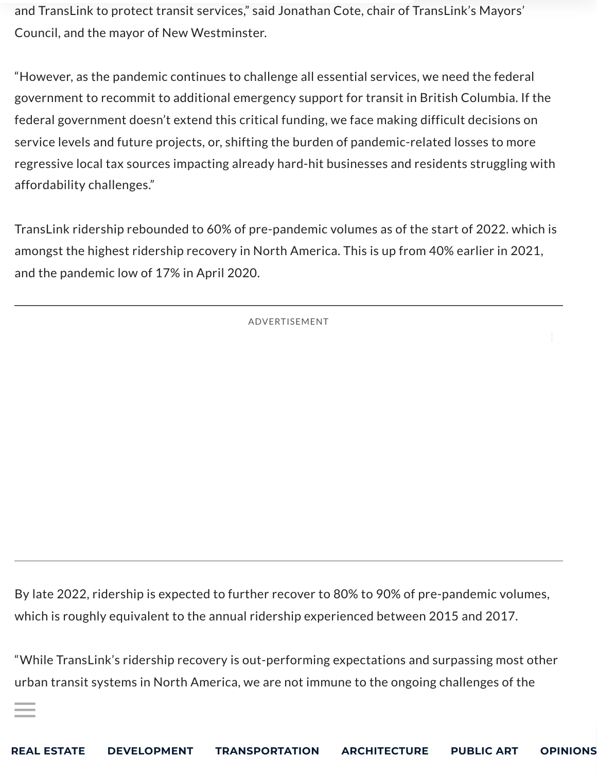and TransLink to protect transit services," said Jonathan Cote, chair of TransLink's Mayors' Council, and the mayor of New Westminster.

"However, as the pandemic continues to challenge all essential services, we need the federal government to recommit to additional emergency support for transit in British Columbia. If the federal government doesn't extend this critical funding, we face making difficult decisions on service levels and future projects, or, shifting the burden of pandemic-related losses to more regressive local tax sources impacting already hard-hit businesses and residents struggling with affordability challenges."

TransLink ridership rebounded to 60% of pre-pandemic volumes as of the start of 2022. which is amongst the highest ridership recovery in North America. This is up from 40% earlier in 2021, and the pandemic low of 17% in April 2020.

ADVERTISEMENT

By late 2022, ridership is expected to further recover to 80% to 90% of pre-pandemic volumes, which is roughly equivalent to the annual ridership experienced between 2015 and 2017.

"While TransLink's ridership recovery is out-performing expectations and surpassing most other urban transit systems in North America, we are not immune to the ongoing challenges of the

pand[emic,](https://dailyhive.com/)" says [TransLink](https://dailyhive.com/vancouver/urbanized) CEO Kevin Quinn.

÷.